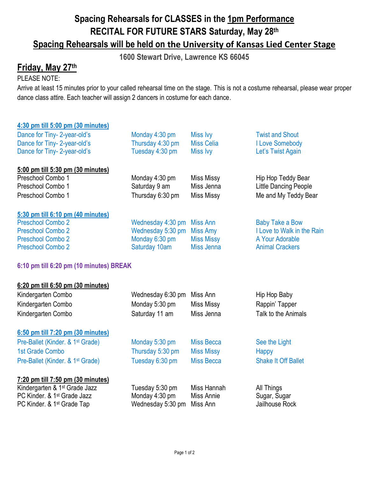# **Spacing Rehearsals for CLASSES in the 1pm Performance RECITAL FOR FUTURE STARS Saturday, May 28th Spacing Rehearsals will be held on the University of Kansas Lied Center Stage**

**1600 Stewart Drive, Lawrence KS 66045**

## **Friday, May 27th**

## PLEASE NOTE:

Arrive at least 15 minutes prior to your called rehearsal time on the stage. This is not a costume rehearsal, please wear proper dance class attire. Each teacher will assign 2 dancers in costume for each dance.

## **4:30 pm till 5:00 pm (30 minutes)**

| Dance for Tiny-2-year-old's       | Monday 4:30 pm    | Miss Ivy          | <b>Twist and Shout</b>     |
|-----------------------------------|-------------------|-------------------|----------------------------|
| Dance for Tiny-2-year-old's       | Thursday 4:30 pm  | <b>Miss Celia</b> | I Love Somebody            |
| Dance for Tiny-2-year-old's       | Tuesday 4:30 pm   | <b>Miss Ivy</b>   | Let's Twist Again          |
| 5:00 pm till 5:30 pm (30 minutes) |                   |                   |                            |
| Preschool Combo 1                 | Monday 4:30 pm    | Miss Missy        | Hip Hop Teddy Bear         |
| Preschool Combo 1                 | Saturday 9 am     | Miss Jenna        | Little Dancing People      |
| Preschool Combo 1                 | Thursday 6:30 pm  | Miss Missy        | Me and My Teddy Bear       |
| 5:30 pm till 6:10 pm (40 minutes) |                   |                   |                            |
| <b>Preschool Combo 2</b>          | Wednesday 4:30 pm | Miss Ann          | <b>Baby Take a Bow</b>     |
| <b>Preschool Combo 2</b>          | Wednesday 5:30 pm | Miss Amy          | I Love to Walk in the Rain |
| <b>Preschool Combo 2</b>          | Monday 6:30 pm    | <b>Miss Missy</b> | A Your Adorable            |
| <b>Preschool Combo 2</b>          | Saturday 10am     | Miss Jenna        | <b>Animal Crackers</b>     |

## **6:10 pm till 6:20 pm (10 minutes) BREAK**

| 6:20 pm till 6:50 pm (30 minutes)            |                   |                   |                            |
|----------------------------------------------|-------------------|-------------------|----------------------------|
| Kindergarten Combo                           | Wednesday 6:30 pm | Miss Ann          | Hip Hop Baby               |
| Kindergarten Combo                           | Monday 5:30 pm    | <b>Miss Missy</b> | Rappin' Tapper             |
| Kindergarten Combo                           | Saturday 11 am    | Miss Jenna        | Talk to the Animals        |
| 6:50 pm till 7:20 pm (30 minutes)            |                   |                   |                            |
| Pre-Ballet (Kinder, & 1 <sup>st</sup> Grade) | Monday 5:30 pm    | <b>Miss Becca</b> | See the Light              |
| 1st Grade Combo                              | Thursday 5:30 pm  | <b>Miss Missy</b> | Happy                      |
| Pre-Ballet (Kinder, & 1 <sup>st</sup> Grade) | Tuesday 6:30 pm   | <b>Miss Becca</b> | <b>Shake It Off Ballet</b> |
| 7:20 pm till 7:50 pm (30 minutes)            |                   |                   |                            |
| Kindergarten & 1 <sup>st</sup> Grade Jazz    | Tuesday 5:30 pm   | Miss Hannah       | All Things                 |
| PC Kinder, & 1 <sup>st</sup> Grade Jazz      | Monday 4:30 pm    | Miss Annie        | Sugar, Sugar               |
| PC Kinder. & 1 <sup>st</sup> Grade Tap       | Wednesday 5:30 pm | Miss Ann          | Jailhouse Rock             |